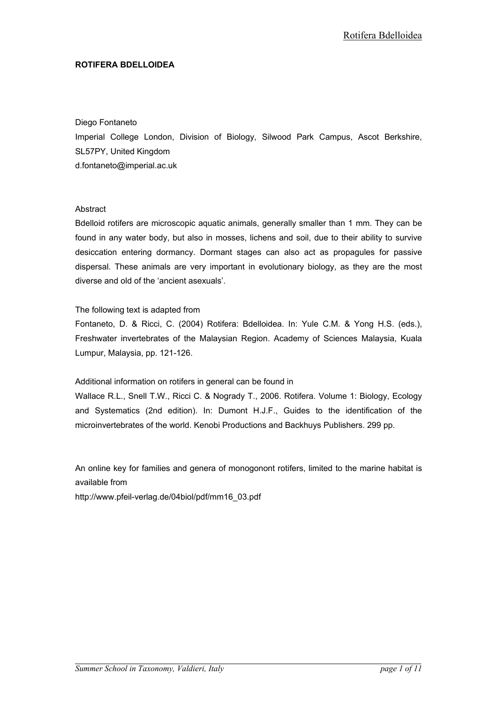#### ROTIFERA BDELLOIDEA

#### Diego Fontaneto

Imperial College London, Division of Biology, Silwood Park Campus, Ascot Berkshire, SL57PY, United Kingdom d.fontaneto@imperial.ac.uk

#### **Abstract**

Bdelloid rotifers are microscopic aquatic animals, generally smaller than 1 mm. They can be found in any water body, but also in mosses, lichens and soil, due to their ability to survive desiccation entering dormancy. Dormant stages can also act as propagules for passive dispersal. These animals are very important in evolutionary biology, as they are the most diverse and old of the 'ancient asexuals'.

#### The following text is adapted from

Fontaneto, D. & Ricci, C. (2004) Rotifera: Bdelloidea. In: Yule C.M. & Yong H.S. (eds.), Freshwater invertebrates of the Malaysian Region. Academy of Sciences Malaysia, Kuala Lumpur, Malaysia, pp. 121-126.

## Additional information on rotifers in general can be found in

Wallace R.L., Snell T.W., Ricci C. & Nogrady T., 2006. Rotifera. Volume 1: Biology, Ecology and Systematics (2nd edition). In: Dumont H.J.F., Guides to the identification of the microinvertebrates of the world. Kenobi Productions and Backhuys Publishers. 299 pp.

An online key for families and genera of monogonont rotifers, limited to the marine habitat is available from

http://www.pfeil-verlag.de/04biol/pdf/mm16\_03.pdf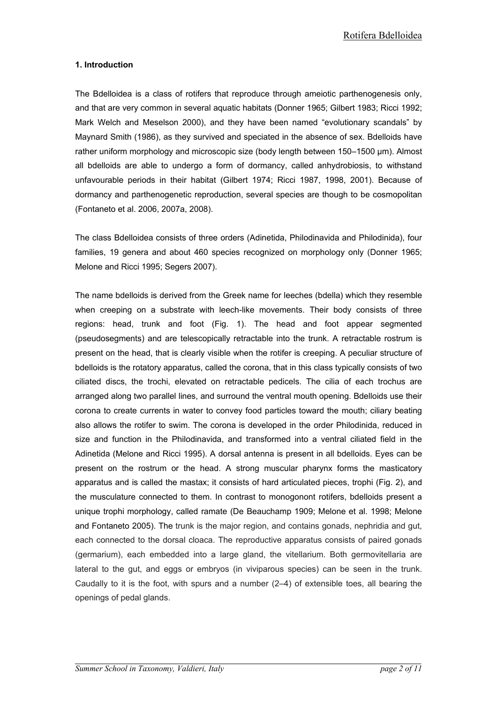# 1. Introduction

The Bdelloidea is a class of rotifers that reproduce through ameiotic parthenogenesis only, and that are very common in several aquatic habitats (Donner 1965; Gilbert 1983; Ricci 1992; Mark Welch and Meselson 2000), and they have been named "evolutionary scandals" by Maynard Smith (1986), as they survived and speciated in the absence of sex. Bdelloids have rather uniform morphology and microscopic size (body length between 150–1500 µm). Almost all bdelloids are able to undergo a form of dormancy, called anhydrobiosis, to withstand unfavourable periods in their habitat (Gilbert 1974; Ricci 1987, 1998, 2001). Because of dormancy and parthenogenetic reproduction, several species are though to be cosmopolitan (Fontaneto et al. 2006, 2007a, 2008).

The class Bdelloidea consists of three orders (Adinetida, Philodinavida and Philodinida), four families, 19 genera and about 460 species recognized on morphology only (Donner 1965; Melone and Ricci 1995; Segers 2007).

The name bdelloids is derived from the Greek name for leeches (bdella) which they resemble when creeping on a substrate with leech-like movements. Their body consists of three regions: head, trunk and foot (Fig. 1). The head and foot appear segmented (pseudosegments) and are telescopically retractable into the trunk. A retractable rostrum is present on the head, that is clearly visible when the rotifer is creeping. A peculiar structure of bdelloids is the rotatory apparatus, called the corona, that in this class typically consists of two ciliated discs, the trochi, elevated on retractable pedicels. The cilia of each trochus are arranged along two parallel lines, and surround the ventral mouth opening. Bdelloids use their corona to create currents in water to convey food particles toward the mouth; ciliary beating also allows the rotifer to swim. The corona is developed in the order Philodinida, reduced in size and function in the Philodinavida, and transformed into a ventral ciliated field in the Adinetida (Melone and Ricci 1995). A dorsal antenna is present in all bdelloids. Eyes can be present on the rostrum or the head. A strong muscular pharynx forms the masticatory apparatus and is called the mastax; it consists of hard articulated pieces, trophi (Fig. 2), and the musculature connected to them. In contrast to monogonont rotifers, bdelloids present a unique trophi morphology, called ramate (De Beauchamp 1909; Melone et al. 1998; Melone and Fontaneto 2005). The trunk is the major region, and contains gonads, nephridia and gut, each connected to the dorsal cloaca. The reproductive apparatus consists of paired gonads (germarium), each embedded into a large gland, the vitellarium. Both germovitellaria are lateral to the gut, and eggs or embryos (in viviparous species) can be seen in the trunk. Caudally to it is the foot, with spurs and a number (2–4) of extensible toes, all bearing the openings of pedal glands.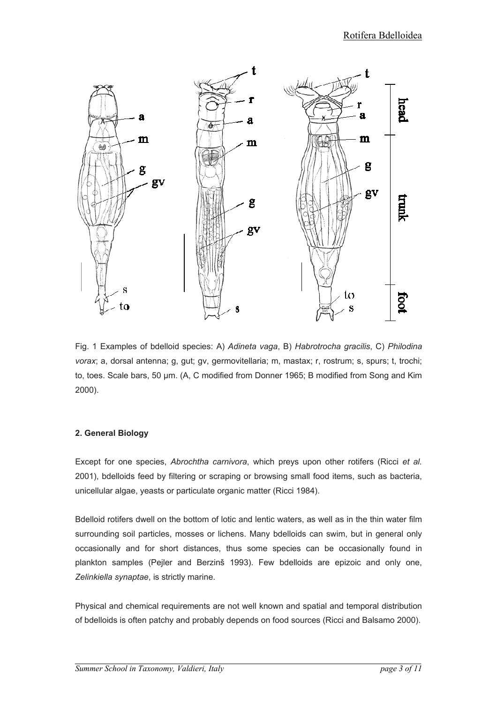

Fig. 1 Examples of bdelloid species: A) Adineta vaga, B) Habrotrocha gracilis, C) Philodina vorax; a, dorsal antenna; g, gut; gv, germovitellaria; m, mastax; r, rostrum; s, spurs; t, trochi; to, toes. Scale bars, 50 µm. (A, C modified from Donner 1965; B modified from Song and Kim 2000).

## 2. General Biology

Except for one species, Abrochtha carnivora, which preys upon other rotifers (Ricci et al. 2001), bdelloids feed by filtering or scraping or browsing small food items, such as bacteria, unicellular algae, yeasts or particulate organic matter (Ricci 1984).

Bdelloid rotifers dwell on the bottom of lotic and lentic waters, as well as in the thin water film surrounding soil particles, mosses or lichens. Many bdelloids can swim, but in general only occasionally and for short distances, thus some species can be occasionally found in plankton samples (Pejler and Berzinš 1993). Few bdelloids are epizoic and only one, Zelinkiella synaptae, is strictly marine.

Physical and chemical requirements are not well known and spatial and temporal distribution of bdelloids is often patchy and probably depends on food sources (Ricci and Balsamo 2000).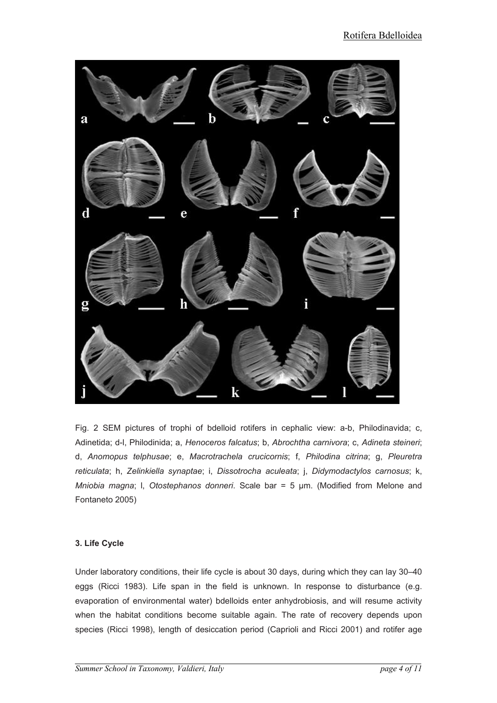

Fig. 2 SEM pictures of trophi of bdelloid rotifers in cephalic view: a-b, Philodinavida; c, Adinetida; d-l, Philodinida; a, Henoceros falcatus; b, Abrochtha carnivora; c, Adineta steineri; d, Anomopus telphusae; e, Macrotrachela crucicornis; f, Philodina citrina; g, Pleuretra reticulata; h, Zelinkiella synaptae; i, Dissotrocha aculeata; j, Didymodactylos carnosus; k, Mniobia magna; l, Otostephanos donneri. Scale bar = 5 µm. (Modified from Melone and Fontaneto 2005)

# 3. Life Cycle

Under laboratory conditions, their life cycle is about 30 days, during which they can lay 30–40 eggs (Ricci 1983). Life span in the field is unknown. In response to disturbance (e.g. evaporation of environmental water) bdelloids enter anhydrobiosis, and will resume activity when the habitat conditions become suitable again. The rate of recovery depends upon species (Ricci 1998), length of desiccation period (Caprioli and Ricci 2001) and rotifer age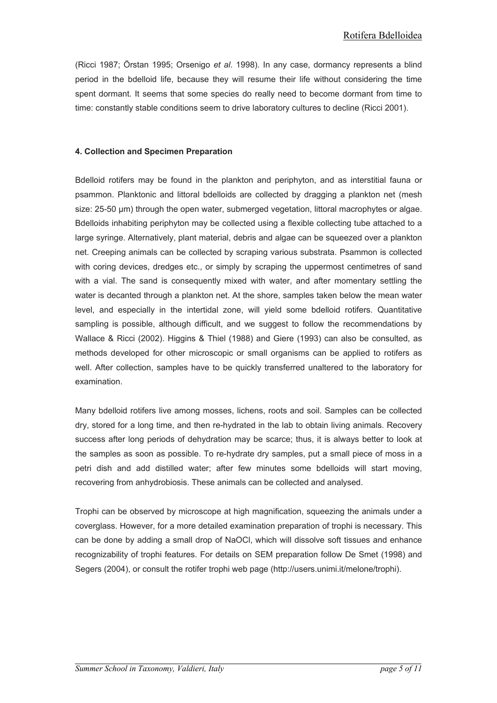(Ricci 1987; Örstan 1995; Orsenigo et al. 1998). In any case, dormancy represents a blind period in the bdelloid life, because they will resume their life without considering the time spent dormant. It seems that some species do really need to become dormant from time to time: constantly stable conditions seem to drive laboratory cultures to decline (Ricci 2001).

#### 4. Collection and Specimen Preparation

Bdelloid rotifers may be found in the plankton and periphyton, and as interstitial fauna or psammon. Planktonic and littoral bdelloids are collected by dragging a plankton net (mesh size: 25-50  $\mu$ m) through the open water, submerged vegetation, littoral macrophytes or algae. Bdelloids inhabiting periphyton may be collected using a flexible collecting tube attached to a large syringe. Alternatively, plant material, debris and algae can be squeezed over a plankton net. Creeping animals can be collected by scraping various substrata. Psammon is collected with coring devices, dredges etc., or simply by scraping the uppermost centimetres of sand with a vial. The sand is consequently mixed with water, and after momentary settling the water is decanted through a plankton net. At the shore, samples taken below the mean water level, and especially in the intertidal zone, will yield some bdelloid rotifers. Quantitative sampling is possible, although difficult, and we suggest to follow the recommendations by Wallace & Ricci (2002). Higgins & Thiel (1988) and Giere (1993) can also be consulted, as methods developed for other microscopic or small organisms can be applied to rotifers as well. After collection, samples have to be quickly transferred unaltered to the laboratory for examination.

Many bdelloid rotifers live among mosses, lichens, roots and soil. Samples can be collected dry, stored for a long time, and then re-hydrated in the lab to obtain living animals. Recovery success after long periods of dehydration may be scarce; thus, it is always better to look at the samples as soon as possible. To re-hydrate dry samples, put a small piece of moss in a petri dish and add distilled water; after few minutes some bdelloids will start moving, recovering from anhydrobiosis. These animals can be collected and analysed.

Trophi can be observed by microscope at high magnification, squeezing the animals under a coverglass. However, for a more detailed examination preparation of trophi is necessary. This can be done by adding a small drop of NaOCl, which will dissolve soft tissues and enhance recognizability of trophi features. For details on SEM preparation follow De Smet (1998) and Segers (2004), or consult the rotifer trophi web page (http://users.unimi.it/melone/trophi).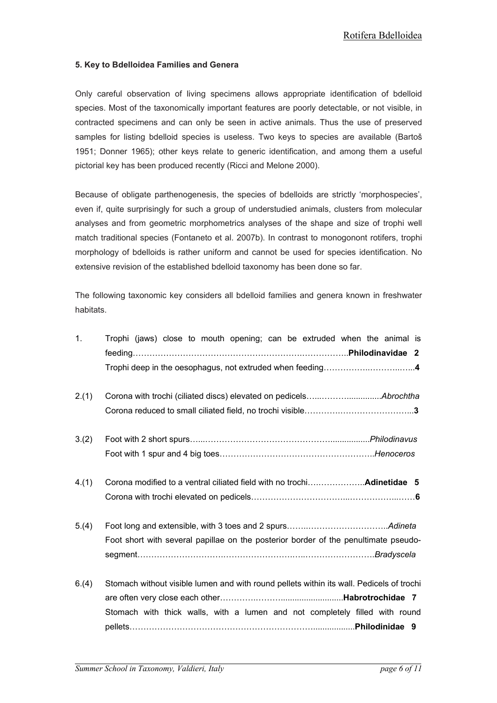## 5. Key to Bdelloidea Families and Genera

Only careful observation of living specimens allows appropriate identification of bdelloid species. Most of the taxonomically important features are poorly detectable, or not visible, in contracted specimens and can only be seen in active animals. Thus the use of preserved samples for listing bdelloid species is useless. Two keys to species are available (Bartoš 1951; Donner 1965); other keys relate to generic identification, and among them a useful pictorial key has been produced recently (Ricci and Melone 2000).

Because of obligate parthenogenesis, the species of bdelloids are strictly 'morphospecies', even if, quite surprisingly for such a group of understudied animals, clusters from molecular analyses and from geometric morphometrics analyses of the shape and size of trophi well match traditional species (Fontaneto et al. 2007b). In contrast to monogonont rotifers, trophi morphology of bdelloids is rather uniform and cannot be used for species identification. No extensive revision of the established bdelloid taxonomy has been done so far.

The following taxonomic key considers all bdelloid families and genera known in freshwater habitats.

| 1.    | Trophi (jaws) close to mouth opening; can be extruded when the animal is                                                                                                |
|-------|-------------------------------------------------------------------------------------------------------------------------------------------------------------------------|
| 2.(1) |                                                                                                                                                                         |
| 3.(2) |                                                                                                                                                                         |
| 4.(1) |                                                                                                                                                                         |
| 5.(4) | Foot short with several papillae on the posterior border of the penultimate pseudo-                                                                                     |
| 6.(4) | Stomach without visible lumen and with round pellets within its wall. Pedicels of trochi<br>Stomach with thick walls, with a lumen and not completely filled with round |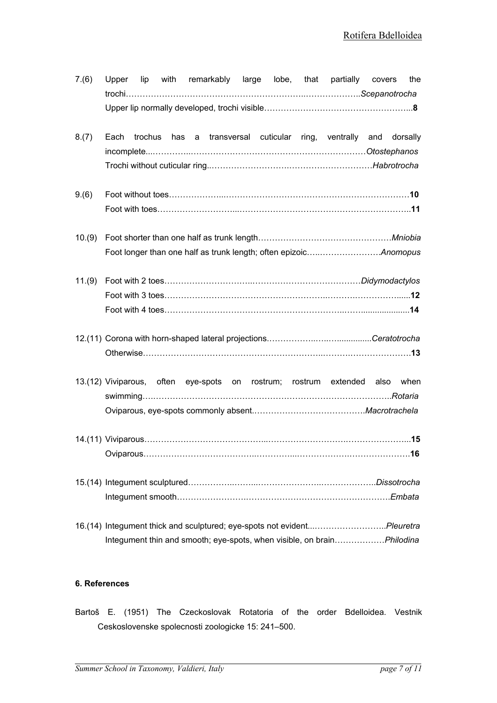| 7.(6)  | with remarkably large lobe, that partially covers<br>Upper lip<br>the                                                                             |
|--------|---------------------------------------------------------------------------------------------------------------------------------------------------|
|        |                                                                                                                                                   |
| 8.(7)  | trochus has a transversal cuticular ring, ventrally and dorsally<br>Each                                                                          |
| 9.(6)  |                                                                                                                                                   |
| 10.(9) |                                                                                                                                                   |
| 11.(9) |                                                                                                                                                   |
|        |                                                                                                                                                   |
|        | 13.(12) Viviparous, often eye-spots on rostrum; rostrum extended also<br>when                                                                     |
|        |                                                                                                                                                   |
|        |                                                                                                                                                   |
|        | 16.(14) Integument thick and sculptured; eye-spots not evidentPleuretra<br>Integument thin and smooth; eye-spots, when visible, on brainPhilodina |

## 6. References

Bartoš E. (1951) The Czeckoslovak Rotatoria of the order Bdelloidea. Vestnik Ceskoslovenske spolecnosti zoologicke 15: 241–500.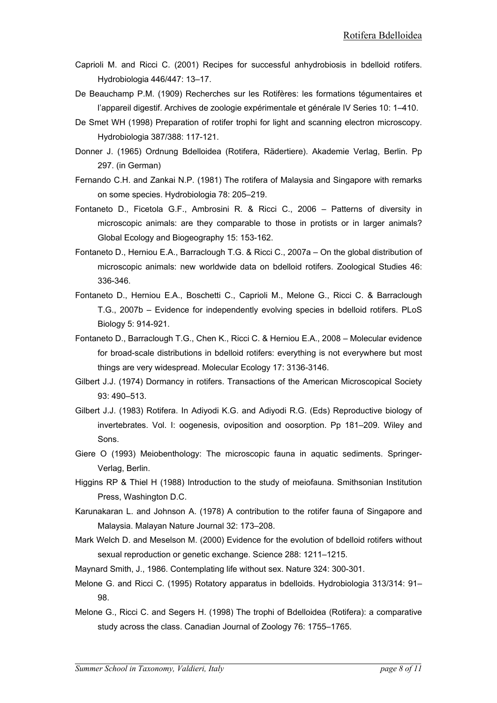- Caprioli M. and Ricci C. (2001) Recipes for successful anhydrobiosis in bdelloid rotifers. Hydrobiologia 446/447: 13–17.
- De Beauchamp P.M. (1909) Recherches sur les Rotifères: les formations tégumentaires et l'appareil digestif. Archives de zoologie expérimentale et générale IV Series 10: 1–410.
- De Smet WH (1998) Preparation of rotifer trophi for light and scanning electron microscopy. Hydrobiologia 387/388: 117-121.
- Donner J. (1965) Ordnung Bdelloidea (Rotifera, Rädertiere). Akademie Verlag, Berlin. Pp 297. (in German)
- Fernando C.H. and Zankai N.P. (1981) The rotifera of Malaysia and Singapore with remarks on some species. Hydrobiologia 78: 205–219.
- Fontaneto D., Ficetola G.F., Ambrosini R. & Ricci C., 2006 Patterns of diversity in microscopic animals: are they comparable to those in protists or in larger animals? Global Ecology and Biogeography 15: 153-162.
- Fontaneto D., Herniou E.A., Barraclough T.G. & Ricci C., 2007a On the global distribution of microscopic animals: new worldwide data on bdelloid rotifers. Zoological Studies 46: 336-346.
- Fontaneto D., Herniou E.A., Boschetti C., Caprioli M., Melone G., Ricci C. & Barraclough T.G., 2007b – Evidence for independently evolving species in bdelloid rotifers. PLoS Biology 5: 914-921.
- Fontaneto D., Barraclough T.G., Chen K., Ricci C. & Herniou E.A., 2008 Molecular evidence for broad-scale distributions in bdelloid rotifers: everything is not everywhere but most things are very widespread. Molecular Ecology 17: 3136-3146.
- Gilbert J.J. (1974) Dormancy in rotifers. Transactions of the American Microscopical Society 93: 490–513.
- Gilbert J.J. (1983) Rotifera. In Adiyodi K.G. and Adiyodi R.G. (Eds) Reproductive biology of invertebrates. Vol. I: oogenesis, oviposition and oosorption. Pp 181–209. Wiley and Sons.
- Giere O (1993) Meiobenthology: The microscopic fauna in aquatic sediments. Springer-Verlag, Berlin.
- Higgins RP & Thiel H (1988) Introduction to the study of meiofauna. Smithsonian Institution Press, Washington D.C.
- Karunakaran L. and Johnson A. (1978) A contribution to the rotifer fauna of Singapore and Malaysia. Malayan Nature Journal 32: 173–208.
- Mark Welch D. and Meselson M. (2000) Evidence for the evolution of bdelloid rotifers without sexual reproduction or genetic exchange. Science 288: 1211–1215.
- Maynard Smith, J., 1986. Contemplating life without sex. Nature 324: 300-301.
- Melone G. and Ricci C. (1995) Rotatory apparatus in bdelloids. Hydrobiologia 313/314: 91– 98.
- Melone G., Ricci C. and Segers H. (1998) The trophi of Bdelloidea (Rotifera): a comparative study across the class. Canadian Journal of Zoology 76: 1755–1765.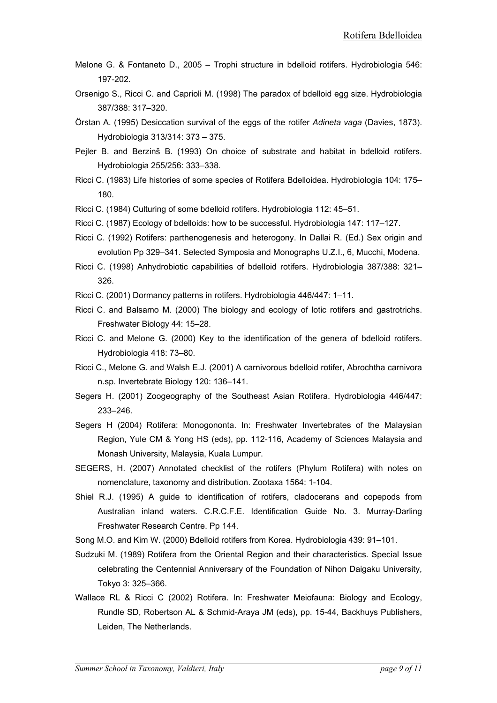- Melone G. & Fontaneto D., 2005 Trophi structure in bdelloid rotifers. Hydrobiologia 546: 197-202.
- Orsenigo S., Ricci C. and Caprioli M. (1998) The paradox of bdelloid egg size. Hydrobiologia 387/388: 317–320.
- Örstan A. (1995) Desiccation survival of the eggs of the rotifer Adineta vaga (Davies, 1873). Hydrobiologia 313/314: 373 – 375.
- Peiler B. and Berzinš B. (1993) On choice of substrate and habitat in bdelloid rotifers. Hydrobiologia 255/256: 333–338.
- Ricci C. (1983) Life histories of some species of Rotifera Bdelloidea. Hydrobiologia 104: 175– 180.
- Ricci C. (1984) Culturing of some bdelloid rotifers. Hydrobiologia 112: 45–51.
- Ricci C. (1987) Ecology of bdelloids: how to be successful. Hydrobiologia 147: 117–127.
- Ricci C. (1992) Rotifers: parthenogenesis and heterogony. In Dallai R. (Ed.) Sex origin and evolution Pp 329–341. Selected Symposia and Monographs U.Z.I., 6, Mucchi, Modena.
- Ricci C. (1998) Anhydrobiotic capabilities of bdelloid rotifers. Hydrobiologia 387/388: 321– 326.
- Ricci C. (2001) Dormancy patterns in rotifers. Hydrobiologia 446/447: 1–11.
- Ricci C. and Balsamo M. (2000) The biology and ecology of lotic rotifers and gastrotrichs. Freshwater Biology 44: 15–28.
- Ricci C. and Melone G. (2000) Key to the identification of the genera of bdelloid rotifers. Hydrobiologia 418: 73–80.
- Ricci C., Melone G. and Walsh E.J. (2001) A carnivorous bdelloid rotifer, Abrochtha carnivora n.sp. Invertebrate Biology 120: 136–141.
- Segers H. (2001) Zoogeography of the Southeast Asian Rotifera. Hydrobiologia 446/447: 233–246.
- Segers H (2004) Rotifera: Monogononta. In: Freshwater Invertebrates of the Malaysian Region, Yule CM & Yong HS (eds), pp. 112-116, Academy of Sciences Malaysia and Monash University, Malaysia, Kuala Lumpur.
- SEGERS, H. (2007) Annotated checklist of the rotifers (Phylum Rotifera) with notes on nomenclature, taxonomy and distribution. Zootaxa 1564: 1-104.
- Shiel R.J. (1995) A guide to identification of rotifers, cladocerans and copepods from Australian inland waters. C.R.C.F.E. Identification Guide No. 3. Murray-Darling Freshwater Research Centre. Pp 144.

Song M.O. and Kim W. (2000) Bdelloid rotifers from Korea. Hydrobiologia 439: 91–101.

- Sudzuki M. (1989) Rotifera from the Oriental Region and their characteristics. Special Issue celebrating the Centennial Anniversary of the Foundation of Nihon Daigaku University, Tokyo 3: 325–366.
- Wallace RL & Ricci C (2002) Rotifera. In: Freshwater Meiofauna: Biology and Ecology, Rundle SD, Robertson AL & Schmid-Araya JM (eds), pp. 15-44, Backhuys Publishers, Leiden, The Netherlands.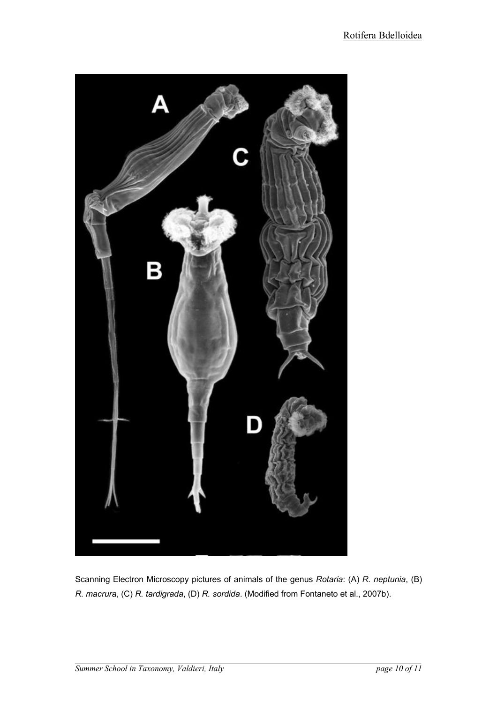

Scanning Electron Microscopy pictures of animals of the genus Rotaria: (A) R. neptunia, (B) R. macrura, (C) R. tardigrada, (D) R. sordida. (Modified from Fontaneto et al., 2007b).